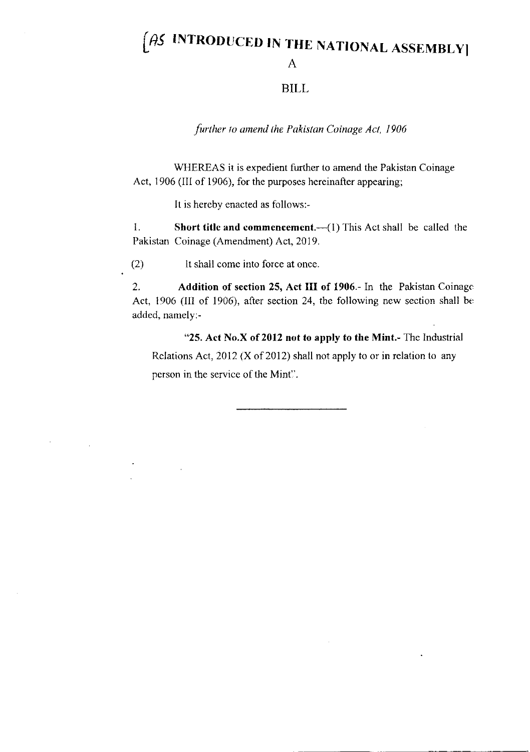## $\beta$ S INTRODUCED IN THE NATIONAL ASSEMBLY A

## BILL

further to amend the Pakistan Coinage Act, 1906

WHEREAS it is expedient further to amend the Pakistan Coinage Act, 1906 (III of 1906), for the purposes hereinafter appearing;

It is hercby enacted as follows:-

<sup>I</sup>. Short title and commcncemcnt.--(1) This Act shall be called the Pakistan Coinage (Amendment) Act, 2019.

(2) It shall come into force at once.

2. Addition of section 25, Act III of 1906.- In the Pakistan Coinage Act, 1906 (III of 1906), after section 24, the following new section shall be added, namely:-

"25. Act No.X of 2012 not to apply to the Mint.- Thc Industrial Relations Act,  $2012$  (X of 2012) shall not apply to or in relation to any person in the service of the Mint?.